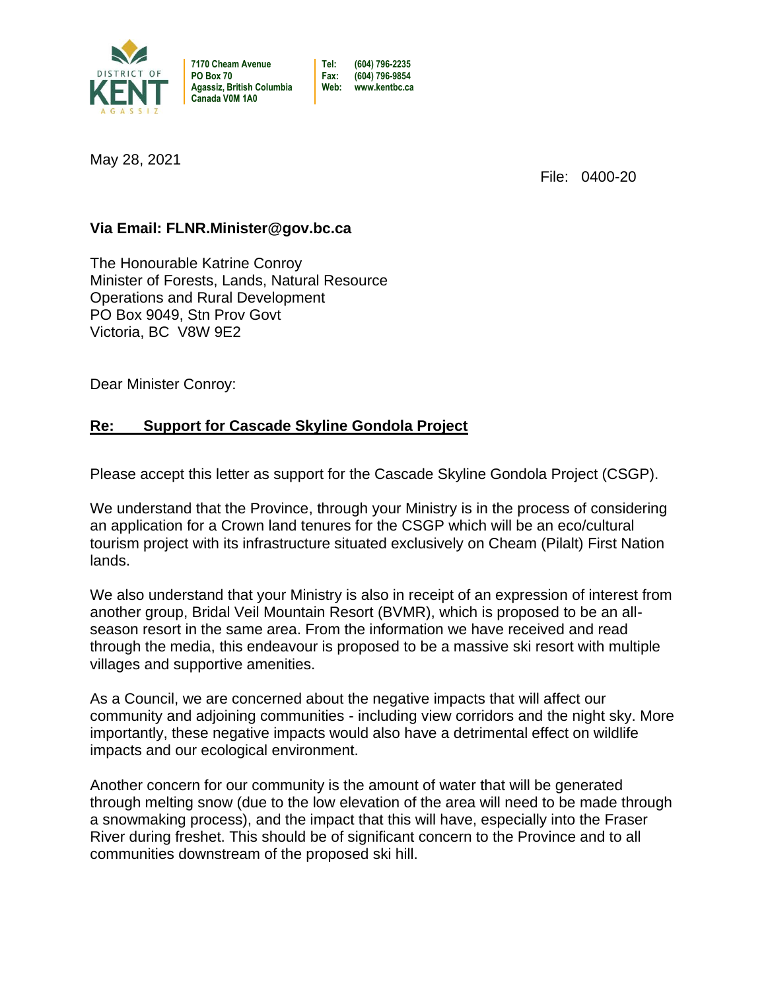

**7170 Cheam Avenue Tel: (604) 796-2235 Agassiz, British Columbia Web: www.kentbc.ca Canada V0M 1A0**

**PO Box 70 Fax: (604) 796-9854**

May 28, 2021

File: 0400-20

## **Via Email: FLNR.Minister@gov.bc.ca**

The Honourable Katrine Conroy Minister of Forests, Lands, Natural Resource Operations and Rural Development PO Box 9049, Stn Prov Govt Victoria, BC V8W 9E2

Dear Minister Conroy:

## **Re: Support for Cascade Skyline Gondola Project**

Please accept this letter as support for the Cascade Skyline Gondola Project (CSGP).

We understand that the Province, through your Ministry is in the process of considering an application for a Crown land tenures for the CSGP which will be an eco/cultural tourism project with its infrastructure situated exclusively on Cheam (Pilalt) First Nation lands.

We also understand that your Ministry is also in receipt of an expression of interest from another group, Bridal Veil Mountain Resort (BVMR), which is proposed to be an allseason resort in the same area. From the information we have received and read through the media, this endeavour is proposed to be a massive ski resort with multiple villages and supportive amenities.

As a Council, we are concerned about the negative impacts that will affect our community and adjoining communities - including view corridors and the night sky. More importantly, these negative impacts would also have a detrimental effect on wildlife impacts and our ecological environment.

Another concern for our community is the amount of water that will be generated through melting snow (due to the low elevation of the area will need to be made through a snowmaking process), and the impact that this will have, especially into the Fraser River during freshet. This should be of significant concern to the Province and to all communities downstream of the proposed ski hill.